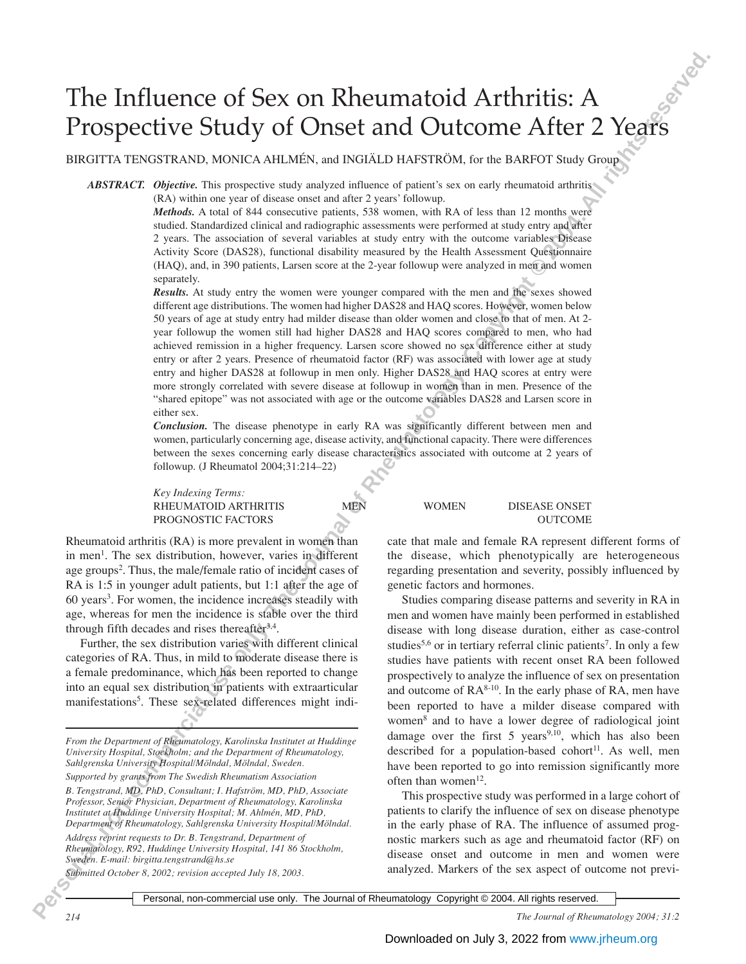# The Influence of Sex on Rheumatoid Arthritis: A Prospective Study of Onset and Outcome After 2 Years

BIRGITTA TENGSTRAND, MONICA AHLMÉN, and INGIÄLD HAFSTRÖM, for the BARFOT Study Group

*ABSTRACT. Objective.* This prospective study analyzed influence of patient's sex on early rheumatoid arthritis (RA) within one year of disease onset and after 2 years' followup.

> *Methods.* A total of 844 consecutive patients, 538 women, with RA of less than 12 months were studied. Standardized clinical and radiographic assessments were performed at study entry and after 2 years. The association of several variables at study entry with the outcome variables Disease Activity Score (DAS28), functional disability measured by the Health Assessment Questionnaire (HAQ), and, in 390 patients, Larsen score at the 2-year followup were analyzed in men and women separately.

**Phe Influence of Sex on Rheumatoid Arthuris: A**<br>**Prospective Study of Onset and Outcome After 2 Yegges**<br> **Prospective Study of Onset and Notain Patientics**, is a statistical particular or the statistical users and the me *Results.* At study entry the women were younger compared with the men and the sexes showed different age distributions. The women had higher DAS28 and HAQ scores. However, women below 50 years of age at study entry had milder disease than older women and close to that of men. At 2 year followup the women still had higher DAS28 and HAQ scores compared to men, who had achieved remission in a higher frequency. Larsen score showed no sex difference either at study entry or after 2 years. Presence of rheumatoid factor (RF) was associated with lower age at study entry and higher DAS28 at followup in men only. Higher DAS28 and HAQ scores at entry were more strongly correlated with severe disease at followup in women than in men. Presence of the "shared epitope" was not associated with age or the outcome variables DAS28 and Larsen score in either sex.

*Conclusion.* The disease phenotype in early RA was significantly different between men and women, particularly concerning age, disease activity, and functional capacity. There were differences between the sexes concerning early disease characteristics associated with outcome at 2 years of followup. (J Rheumatol 2004;31:214–22)

*Key Indexing Terms:*

Rheumatoid arthritis (RA) is more prevalent in women than in men<sup>1</sup>. The sex distribution, however, varies in different age groups<sup>2</sup>. Thus, the male/female ratio of incident cases of RA is 1:5 in younger adult patients, but 1:1 after the age of 60 years<sup>3</sup>. For women, the incidence increases steadily with age, whereas for men the incidence is stable over the third through fifth decades and rises thereafter $3,4$ .

Further, the sex distribution varies with different clinical categories of RA. Thus, in mild to moderate disease there is a female predominance, which has been reported to change into an equal sex distribution in patients with extraarticular manifestations<sup>5</sup>. These sex-related differences might indi-

*From the Department of Rheumatology, Karolinska Institutet at Huddinge University Hospital, Stockholm; and the Department of Rheumatology, Sahlgrenska University Hospital/Mölndal, Mölndal, Sweden. Supported by grants from The Swedish Rheumatism Association*

*B. Tengstrand, MD, PhD, Consultant; I. Hafström, MD, PhD, Associate Professor, Senior Physician, Department of Rheumatology, Karolinska Institutet at Huddinge University Hospital; M. Ahlmén, MD, PhD, Department of Rheumatology, Sahlgrenska University Hospital/Mölndal.*

*Address reprint requests to Dr. B. Tengstrand, Department of Rheumatology, R92, Huddinge University Hospital, 141 86 Stockholm, Sweden. E-mail: birgitta.tengstrand@hs.se*

*Submitted October 8, 2002; revision accepted July 18, 2003.*

RHEUMATOID ARTHRITIS MEN WOMEN DISEASE ONSET PROGNOSTIC FACTORS OUTCOME

> cate that male and female RA represent different forms of the disease, which phenotypically are heterogeneous regarding presentation and severity, possibly influenced by genetic factors and hormones.

> Studies comparing disease patterns and severity in RA in men and women have mainly been performed in established disease with long disease duration, either as case-control studies<sup>5,6</sup> or in tertiary referral clinic patients<sup>7</sup>. In only a few studies have patients with recent onset RA been followed prospectively to analyze the influence of sex on presentation and outcome of  $\mathsf{RA}^{8-10}$ . In the early phase of  $\mathsf{RA}$ , men have been reported to have a milder disease compared with women8 and to have a lower degree of radiological joint damage over the first  $5$  years<sup>9,10</sup>, which has also been described for a population-based cohort<sup>11</sup>. As well, men have been reported to go into remission significantly more often than women $12$ .

> This prospective study was performed in a large cohort of patients to clarify the influence of sex on disease phenotype in the early phase of RA. The influence of assumed prognostic markers such as age and rheumatoid factor (RF) on disease onset and outcome in men and women were analyzed. Markers of the sex aspect of outcome not previ-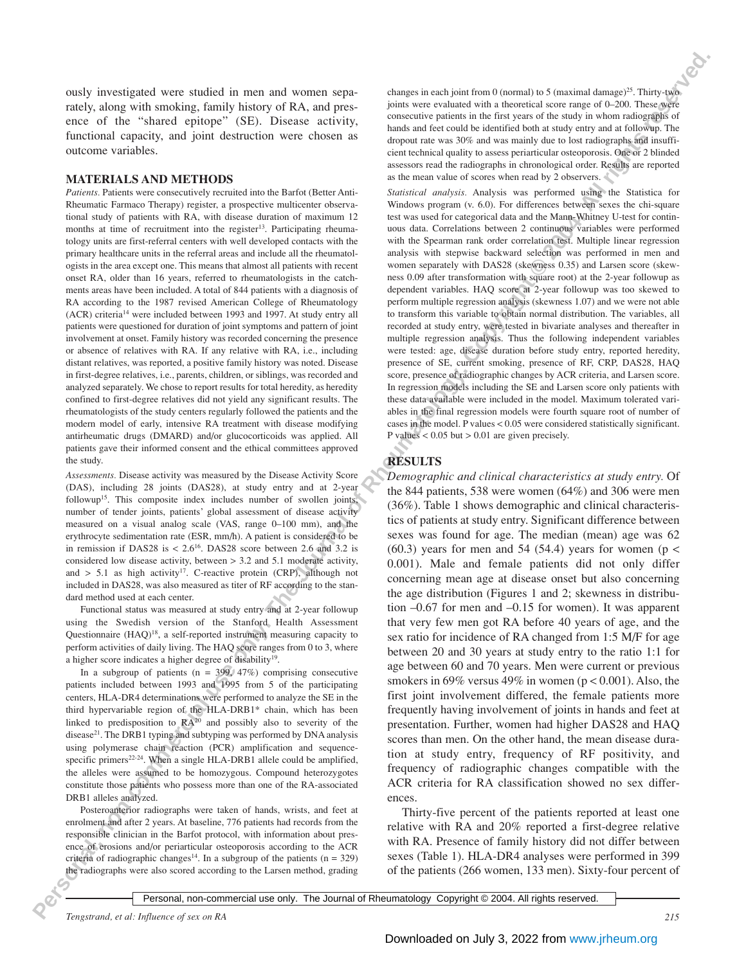ously investigated were studied in men and women separately, along with smoking, family history of RA, and presence of the "shared epitope" (SE). Disease activity, functional capacity, and joint destruction were chosen as outcome variables.

#### **MATERIALS AND METHODS**

*Patients.* Patients were consecutively recruited into the Barfot (Better Anti-Rheumatic Farmaco Therapy) register, a prospective multicenter observational study of patients with RA, with disease duration of maximum 12 months at time of recruitment into the register<sup>13</sup>. Participating rheumatology units are first-referral centers with well developed contacts with the primary healthcare units in the referral areas and include all the rheumatologists in the area except one. This means that almost all patients with recent onset RA, older than 16 years, referred to rheumatologists in the catchments areas have been included. A total of 844 patients with a diagnosis of RA according to the 1987 revised American College of Rheumatology (ACR) criteria14 were included between 1993 and 1997. At study entry all patients were questioned for duration of joint symptoms and pattern of joint involvement at onset. Family history was recorded concerning the presence or absence of relatives with RA. If any relative with RA, i.e., including distant relatives, was reported, a positive family history was noted. Disease in first-degree relatives, i.e., parents, children, or siblings, was recorded and analyzed separately. We chose to report results for total heredity, as heredity confined to first-degree relatives did not yield any significant results. The rheumatologists of the study centers regularly followed the patients and the modern model of early, intensive RA treatment with disease modifying antirheumatic drugs (DMARD) and/or glucocorticoids was applied. All patients gave their informed consent and the ethical committees approved the study.

*Assessments.* Disease activity was measured by the Disease Activity Score (DAS), including 28 joints (DAS28), at study entry and at 2-year followup15. This composite index includes number of swollen joints, number of tender joints, patients' global assessment of disease activity measured on a visual analog scale (VAS, range 0–100 mm), and the erythrocyte sedimentation rate (ESR, mm/h). A patient is considered to be in remission if DAS28 is  $\lt$  2.6<sup>16</sup>. DAS28 score between 2.6 and 3.2 is considered low disease activity, between > 3.2 and 5.1 moderate activity, and  $> 5.1$  as high activity<sup>17</sup>. C-reactive protein (CRP), although not included in DAS28, was also measured as titer of RF according to the standard method used at each center.

Functional status was measured at study entry and at 2-year followup using the Swedish version of the Stanford Health Assessment Questionnaire (HAQ)18, a self-reported instrument measuring capacity to perform activities of daily living. The HAQ score ranges from 0 to 3, where a higher score indicates a higher degree of disability19.

In a subgroup of patients ( $n = 399, 47\%$ ) comprising consecutive patients included between 1993 and 1995 from 5 of the participating centers, HLA-DR4 determinations were performed to analyze the SE in the third hypervariable region of the HLA-DRB1\* chain, which has been linked to predisposition to  $\mathbb{R}A^{20}$  and possibly also to severity of the disease<sup>21</sup>. The DRB1 typing and subtyping was performed by DNA analysis using polymerase chain reaction (PCR) amplification and sequencespecific primers<sup>22-24</sup>. When a single HLA-DRB1 allele could be amplified, the alleles were assumed to be homozygous. Compound heterozygotes constitute those patients who possess more than one of the RA-associated DRB1 alleles analyzed.

Posteroanterior radiographs were taken of hands, wrists, and feet at enrolment and after 2 years. At baseline, 776 patients had records from the responsible clinician in the Barfot protocol, with information about presence of erosions and/or periarticular osteoporosis according to the ACR criteria of radiographic changes<sup>14</sup>. In a subgroup of the patients ( $n = 329$ ) the radiographs were also scored according to the Larsen method, grading

changes in each joint from 0 (normal) to 5 (maximal damage)<sup>25</sup>. Thirty-two joints were evaluated with a theoretical score range of 0–200. These were consecutive patients in the first years of the study in whom radiographs of hands and feet could be identified both at study entry and at followup. The dropout rate was 30% and was mainly due to lost radiographs and insufficient technical quality to assess periarticular osteoporosis. One or 2 blinded assessors read the radiographs in chronological order. Results are reported as the mean value of scores when read by 2 observers.

*Statistical analysis.* Analysis was performed using the Statistica for Windows program (v. 6.0). For differences between sexes the chi-square test was used for categorical data and the Mann-Whitney U-test for continuous data. Correlations between 2 continuous variables were performed with the Spearman rank order correlation test. Multiple linear regression analysis with stepwise backward selection was performed in men and women separately with DAS28 (skewness 0.35) and Larsen score (skewness 0.09 after transformation with square root) at the 2-year followup as dependent variables. HAQ score at 2-year followup was too skewed to perform multiple regression analysis (skewness 1.07) and we were not able to transform this variable to obtain normal distribution. The variables, all recorded at study entry, were tested in bivariate analyses and thereafter in multiple regression analysis. Thus the following independent variables were tested: age, disease duration before study entry, reported heredity, presence of SE, current smoking, presence of RF, CRP, DAS28, HAQ score, presence of radiographic changes by ACR criteria, and Larsen score. In regression models including the SE and Larsen score only patients with these data available were included in the model. Maximum tolerated variables in the final regression models were fourth square root of number of cases in the model. P values < 0.05 were considered statistically significant. P values  $< 0.05$  but  $> 0.01$  are given precisely.

## **RESULTS**

**Personal of the Use of Personal in the Latin Commercial use of Rheumatological use only. The Journal of Rheumatological use of CoPyright Commercial use of CoPyright Commercial Use of CoPyright Commercial Use of CoPyright** *Demographic and clinical characteristics at study entry.* Of the 844 patients, 538 were women (64%) and 306 were men (36%). Table 1 shows demographic and clinical characteristics of patients at study entry. Significant difference between sexes was found for age. The median (mean) age was 62 (60.3) years for men and 54 (54.4) years for women ( $p <$ 0.001). Male and female patients did not only differ concerning mean age at disease onset but also concerning the age distribution (Figures 1 and 2; skewness in distribution –0.67 for men and –0.15 for women). It was apparent that very few men got RA before 40 years of age, and the sex ratio for incidence of RA changed from 1:5 M/F for age between 20 and 30 years at study entry to the ratio 1:1 for age between 60 and 70 years. Men were current or previous smokers in 69% versus 49% in women ( $p < 0.001$ ). Also, the first joint involvement differed, the female patients more frequently having involvement of joints in hands and feet at presentation. Further, women had higher DAS28 and HAQ scores than men. On the other hand, the mean disease duration at study entry, frequency of RF positivity, and frequency of radiographic changes compatible with the ACR criteria for RA classification showed no sex differences.

Thirty-five percent of the patients reported at least one relative with RA and 20% reported a first-degree relative with RA. Presence of family history did not differ between sexes (Table 1). HLA-DR4 analyses were performed in 399 of the patients (266 women, 133 men). Sixty-four percent of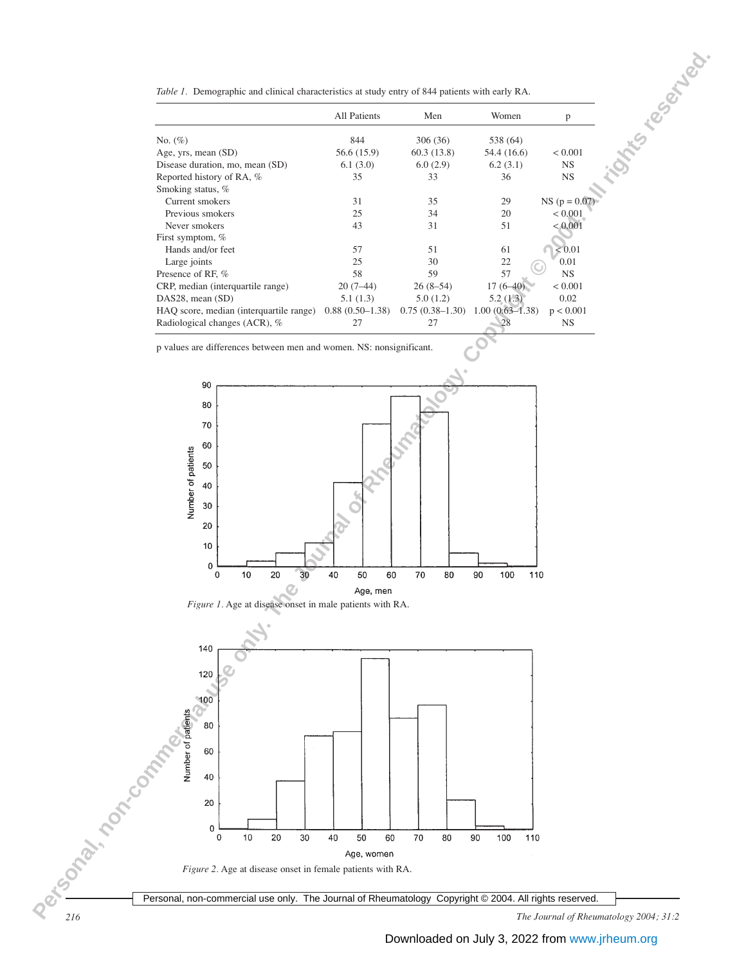| Table 1. Demographic and clinical characteristics at study entry of 844 patients with early RA. |  |  |  |  |
|-------------------------------------------------------------------------------------------------|--|--|--|--|
|                                                                                                 |  |  |  |  |

|                                         | <b>All Patients</b> | Men               | Women               | p                |
|-----------------------------------------|---------------------|-------------------|---------------------|------------------|
| No. $(\%)$                              | 844                 | 306 (36)          | 538 (64)            |                  |
| Age, yrs, mean (SD)                     | 56.6 (15.9)         | 60.3(13.8)        | 54.4 (16.6)         | < 0.001          |
| Disease duration, mo, mean (SD)         | 6.1(3.0)            | 6.0(2.9)          | 6.2(3.1)            | <b>NS</b>        |
| Reported history of RA, %               | 35                  | 33                | 36                  | <b>NS</b>        |
| Smoking status, %                       |                     |                   |                     |                  |
| Current smokers                         | 31                  | 35                | 29                  | $NS (p = 0.0)$   |
| Previous smokers                        | 25                  | 34                | 20                  | < 0.001          |
| Never smokers                           | 43                  | 31                | 51                  | < 0.001          |
| First symptom, %                        |                     |                   |                     |                  |
| Hands and/or feet                       | 57                  | 51                | 61                  | ${}_{\leq 0.01}$ |
| Large joints                            | 25                  | 30                | 22                  | 0.01             |
| Presence of RF, %                       | 58                  | 59                | 57                  | <b>NS</b>        |
| CRP, median (interquartile range)       | $20(7-44)$          | $26(8-54)$        | $17(6 - 40)$        | < 0.001          |
| $DAS28$ , mean $(SD)$                   | 5.1(1.3)            | 5.0(1.2)          | 5.2(1.3)            | 0.02             |
| HAQ score, median (interquartile range) | $0.88(0.50-1.38)$   | $0.75(0.38-1.30)$ | $1.00(0.63 - 1.38)$ | p < 0.001        |
| Radiological changes (ACR), %           | 27                  | 27                | 28                  | <b>NS</b>        |

p values are differences between men and women. NS: nonsignificant.





*216 The Journal of Rheumatology 2004; 31:2*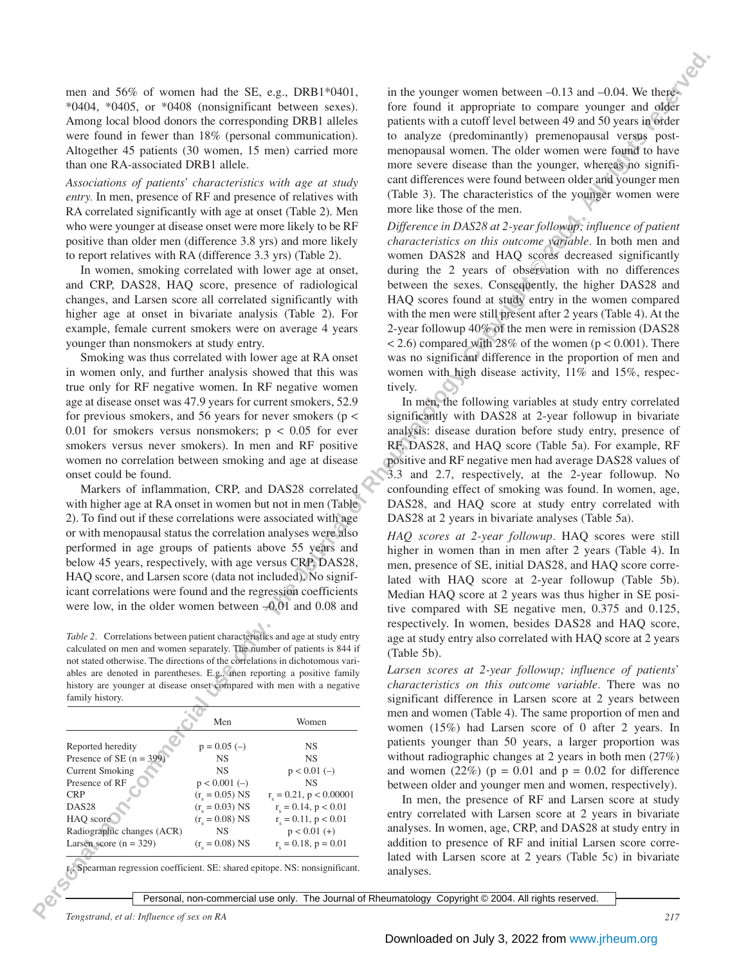men and 56% of women had the SE, e.g., DRB1\*0401, \*0404, \*0405, or \*0408 (nonsignificant between sexes). Among local blood donors the corresponding DRB1 alleles were found in fewer than 18% (personal communication). Altogether 45 patients (30 women, 15 men) carried more than one RA-associated DRB1 allele.

*Associations of patients' characteristics with age at study entry.* In men, presence of RF and presence of relatives with RA correlated significantly with age at onset (Table 2). Men who were younger at disease onset were more likely to be RF positive than older men (difference 3.8 yrs) and more likely to report relatives with RA (difference 3.3 yrs) (Table 2).

In women, smoking correlated with lower age at onset, and CRP, DAS28, HAQ score, presence of radiological changes, and Larsen score all correlated significantly with higher age at onset in bivariate analysis (Table 2). For example, female current smokers were on average 4 years younger than nonsmokers at study entry.

Smoking was thus correlated with lower age at RA onset in women only, and further analysis showed that this was true only for RF negative women. In RF negative women age at disease onset was 47.9 years for current smokers, 52.9 for previous smokers, and 56 years for never smokers ( $p <$ 0.01 for smokers versus nonsmokers;  $p < 0.05$  for ever smokers versus never smokers). In men and RF positive women no correlation between smoking and age at disease onset could be found.

Markers of inflammation, CRP, and DAS28 correlated with higher age at RA onset in women but not in men (Table 2). To find out if these correlations were associated with age or with menopausal status the correlation analyses were also performed in age groups of patients above 55 years and below 45 years, respectively, with age versus CRP, DAS28, HAQ score, and Larsen score (data not included). No significant correlations were found and the regression coefficients were low, in the older women between  $-0.01$  and 0.08 and

*Table 2.* Correlations between patient characteristics and age at study entry calculated on men and women separately. The number of patients is 844 if not stated otherwise. The directions of the correlations in dichotomous variables are denoted in parentheses. E.g., men reporting a positive family history are younger at disease onset compared with men with a negative family history.

|                            | Men                     | Women                        |
|----------------------------|-------------------------|------------------------------|
| Reported heredity          | $p = 0.05$ (-)          | <b>NS</b>                    |
| Presence of SE $(n = 399)$ | <b>NS</b>               | <b>NS</b>                    |
| <b>Current Smoking</b>     | <b>NS</b>               | $p < 0.01$ (-)               |
| Presence of RF             | $p < 0.001$ (-)         | NS.                          |
| <b>CRP</b>                 | $(r_c = 0.05)$ NS       | $r_s = 0.21$ , $p < 0.00001$ |
| DAS <sub>28</sub>          | $(r_c = 0.03)$ NS       | $r_c = 0.14$ , $p < 0.01$    |
| HAQ score                  | $(r_c = 0.08)$ NS       | $r_e = 0.11$ , $p < 0.01$    |
| Radiographic changes (ACR) | <b>NS</b>               | $p < 0.01$ (+)               |
| Larsen score $(n = 329)$   | $(r_{\rm c} = 0.08)$ NS | $r_e = 0.18$ , $p = 0.01$    |

 $r_{\rm s}$ : Spearman regression coefficient. SE: shared epitope. NS: nonsignificant. in the younger women between –0.13 and –0.04. We therefore found it appropriate to compare younger and older patients with a cutoff level between 49 and 50 years in order to analyze (predominantly) premenopausal versus postmenopausal women. The older women were found to have more severe disease than the younger, whereas no significant differences were found between older and younger men (Table 3). The characteristics of the younger women were more like those of the men.

**Person control of the All rights reserved.** The Boston is a comparison of the Color Copyright Control of Reference Comparison in the Gaussian Comparison in the Gaussian Comparison in the Color of Control of Control of Co *Difference in DAS28 at 2-year followup; influence of patient characteristics on this outcome variable.* In both men and women DAS28 and HAQ scores decreased significantly during the 2 years of observation with no differences between the sexes. Consequently, the higher DAS28 and HAQ scores found at study entry in the women compared with the men were still present after 2 years (Table 4). At the 2-year followup 40% of the men were in remission (DAS28  $< 2.6$ ) compared with 28% of the women ( $p < 0.001$ ). There was no significant difference in the proportion of men and women with high disease activity, 11% and 15%, respectively.

In men, the following variables at study entry correlated significantly with DAS28 at 2-year followup in bivariate analysis: disease duration before study entry, presence of RF, DAS28, and HAQ score (Table 5a). For example, RF positive and RF negative men had average DAS28 values of 3.3 and 2.7, respectively, at the 2-year followup. No confounding effect of smoking was found. In women, age, DAS28, and HAQ score at study entry correlated with DAS28 at 2 years in bivariate analyses (Table 5a).

*HAQ scores at 2-year followup.* HAQ scores were still higher in women than in men after 2 years (Table 4). In men, presence of SE, initial DAS28, and HAQ score correlated with HAQ score at 2-year followup (Table 5b). Median HAQ score at 2 years was thus higher in SE positive compared with SE negative men, 0.375 and 0.125, respectively. In women, besides DAS28 and HAQ score, age at study entry also correlated with HAQ score at 2 years (Table 5b).

*Larsen scores at 2-year followup; influence of patients' characteristics on this outcome variable.* There was no significant difference in Larsen score at 2 years between men and women (Table 4). The same proportion of men and women (15%) had Larsen score of 0 after 2 years. In patients younger than 50 years, a larger proportion was without radiographic changes at 2 years in both men (27%) and women  $(22%)$  ( $p = 0.01$  and  $p = 0.02$  for difference between older and younger men and women, respectively).

In men, the presence of RF and Larsen score at study entry correlated with Larsen score at 2 years in bivariate analyses. In women, age, CRP, and DAS28 at study entry in addition to presence of RF and initial Larsen score correlated with Larsen score at 2 years (Table 5c) in bivariate analyses.

Personal, non-commercial use only. The Journal of Rheumatology Copyright © 2004. All rights reserved.

*Tengstrand, et al: Influence of sex on RA 217*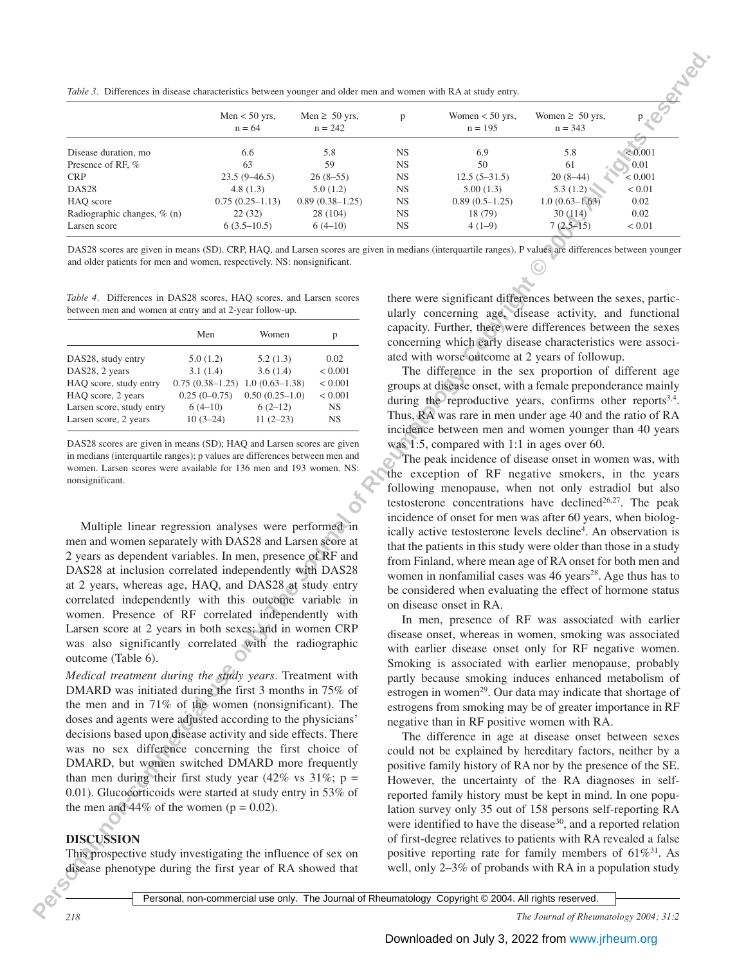*Table 3.* Differences in disease characteristics between younger and older men and women with RA at study entry.

|                                                                                                                                                                                                                                                                                                                                                                                                                                                                                                                                                                                                                                                                                                                                                                                                                                                                                                                                                                                                                                                                                                                                                                       |                                 | Men $<$ 50 yrs,<br>$n = 64$   | Men $\geq 50$ yrs,<br>$n = 242$ | p                      | Women $<$ 50 yrs,<br>$n = 195$                                                                                                                                                                                                                                                                                                                                                                                                                                                                                                                                                                                                                                                                                                                                                                                                                                                                                                                                                                                                                                                                                                                                                                                                                                                                                  | Women $\geq 50$ yrs,<br>$n = 343$ |                |
|-----------------------------------------------------------------------------------------------------------------------------------------------------------------------------------------------------------------------------------------------------------------------------------------------------------------------------------------------------------------------------------------------------------------------------------------------------------------------------------------------------------------------------------------------------------------------------------------------------------------------------------------------------------------------------------------------------------------------------------------------------------------------------------------------------------------------------------------------------------------------------------------------------------------------------------------------------------------------------------------------------------------------------------------------------------------------------------------------------------------------------------------------------------------------|---------------------------------|-------------------------------|---------------------------------|------------------------|-----------------------------------------------------------------------------------------------------------------------------------------------------------------------------------------------------------------------------------------------------------------------------------------------------------------------------------------------------------------------------------------------------------------------------------------------------------------------------------------------------------------------------------------------------------------------------------------------------------------------------------------------------------------------------------------------------------------------------------------------------------------------------------------------------------------------------------------------------------------------------------------------------------------------------------------------------------------------------------------------------------------------------------------------------------------------------------------------------------------------------------------------------------------------------------------------------------------------------------------------------------------------------------------------------------------|-----------------------------------|----------------|
| Disease duration, mo                                                                                                                                                                                                                                                                                                                                                                                                                                                                                                                                                                                                                                                                                                                                                                                                                                                                                                                                                                                                                                                                                                                                                  |                                 | 6.6                           | 5.8                             | <b>NS</b>              | 6.9                                                                                                                                                                                                                                                                                                                                                                                                                                                                                                                                                                                                                                                                                                                                                                                                                                                                                                                                                                                                                                                                                                                                                                                                                                                                                                             | 5.8                               | ${}< 0.001$    |
| Presence of RF, %                                                                                                                                                                                                                                                                                                                                                                                                                                                                                                                                                                                                                                                                                                                                                                                                                                                                                                                                                                                                                                                                                                                                                     |                                 | 63                            | 59                              | <b>NS</b>              | 50                                                                                                                                                                                                                                                                                                                                                                                                                                                                                                                                                                                                                                                                                                                                                                                                                                                                                                                                                                                                                                                                                                                                                                                                                                                                                                              | 61                                | 0.01           |
| <b>CRP</b>                                                                                                                                                                                                                                                                                                                                                                                                                                                                                                                                                                                                                                                                                                                                                                                                                                                                                                                                                                                                                                                                                                                                                            |                                 | $23.5(9 - 46.5)$              | $26(8-55)$                      | <b>NS</b>              | $12.5(5-31.5)$                                                                                                                                                                                                                                                                                                                                                                                                                                                                                                                                                                                                                                                                                                                                                                                                                                                                                                                                                                                                                                                                                                                                                                                                                                                                                                  | $20(8-44)$                        | < 0.001        |
| DAS28                                                                                                                                                                                                                                                                                                                                                                                                                                                                                                                                                                                                                                                                                                                                                                                                                                                                                                                                                                                                                                                                                                                                                                 |                                 | 4.8(1.3)<br>$0.75(0.25-1.13)$ | 5.0(1.2)<br>$0.89(0.38-1.25)$   | <b>NS</b>              | 5.00(1.3)                                                                                                                                                                                                                                                                                                                                                                                                                                                                                                                                                                                                                                                                                                                                                                                                                                                                                                                                                                                                                                                                                                                                                                                                                                                                                                       | 5.3(1.2)<br>$1.0(0.63 - 1.63)$    | < 0.01<br>0.02 |
| HAQ score<br>Radiographic changes, % (n)                                                                                                                                                                                                                                                                                                                                                                                                                                                                                                                                                                                                                                                                                                                                                                                                                                                                                                                                                                                                                                                                                                                              |                                 | 22(32)                        | 28 (104)                        | <b>NS</b><br><b>NS</b> | $0.89(0.5-1.25)$<br>18 (79)                                                                                                                                                                                                                                                                                                                                                                                                                                                                                                                                                                                                                                                                                                                                                                                                                                                                                                                                                                                                                                                                                                                                                                                                                                                                                     | 30 (114)                          | 0.02           |
| Larsen score                                                                                                                                                                                                                                                                                                                                                                                                                                                                                                                                                                                                                                                                                                                                                                                                                                                                                                                                                                                                                                                                                                                                                          |                                 | $6(3.5-10.5)$                 | $6(4-10)$                       | <b>NS</b>              | $4(1-9)$                                                                                                                                                                                                                                                                                                                                                                                                                                                                                                                                                                                                                                                                                                                                                                                                                                                                                                                                                                                                                                                                                                                                                                                                                                                                                                        | $7(2.5-15)$                       | < 0.01         |
| DAS28 scores are given in means (SD). CRP, HAQ, and Larsen scores are given in medians (interquartile ranges). P values are differences between younger<br>and older patients for men and women, respectively. NS: nonsignificant.<br>Table 4. Differences in DAS28 scores, HAQ scores, and Larsen scores<br>between men and women at entry and at 2-year follow-up.                                                                                                                                                                                                                                                                                                                                                                                                                                                                                                                                                                                                                                                                                                                                                                                                  |                                 |                               |                                 |                        | there were significant differences between the sexes, partic-<br>ularly concerning age, disease activity, and functional                                                                                                                                                                                                                                                                                                                                                                                                                                                                                                                                                                                                                                                                                                                                                                                                                                                                                                                                                                                                                                                                                                                                                                                        |                                   |                |
|                                                                                                                                                                                                                                                                                                                                                                                                                                                                                                                                                                                                                                                                                                                                                                                                                                                                                                                                                                                                                                                                                                                                                                       | Men                             |                               |                                 |                        | capacity. Further, there were differences between the sexes                                                                                                                                                                                                                                                                                                                                                                                                                                                                                                                                                                                                                                                                                                                                                                                                                                                                                                                                                                                                                                                                                                                                                                                                                                                     |                                   |                |
|                                                                                                                                                                                                                                                                                                                                                                                                                                                                                                                                                                                                                                                                                                                                                                                                                                                                                                                                                                                                                                                                                                                                                                       |                                 | Women                         | p                               |                        | concerning which early disease characteristics were associ-                                                                                                                                                                                                                                                                                                                                                                                                                                                                                                                                                                                                                                                                                                                                                                                                                                                                                                                                                                                                                                                                                                                                                                                                                                                     |                                   |                |
| DAS28, study entry                                                                                                                                                                                                                                                                                                                                                                                                                                                                                                                                                                                                                                                                                                                                                                                                                                                                                                                                                                                                                                                                                                                                                    | 5.0(1.2)                        | 5.2(1.3)                      | 0.02                            |                        | ated with worse outcome at 2 years of followup.                                                                                                                                                                                                                                                                                                                                                                                                                                                                                                                                                                                                                                                                                                                                                                                                                                                                                                                                                                                                                                                                                                                                                                                                                                                                 |                                   |                |
| DAS28, 2 years                                                                                                                                                                                                                                                                                                                                                                                                                                                                                                                                                                                                                                                                                                                                                                                                                                                                                                                                                                                                                                                                                                                                                        | 3.1(1.4)                        | 3.6(1.4)                      | < 0.001                         |                        | The difference in the sex proportion of different age                                                                                                                                                                                                                                                                                                                                                                                                                                                                                                                                                                                                                                                                                                                                                                                                                                                                                                                                                                                                                                                                                                                                                                                                                                                           |                                   |                |
| HAQ score, study entry                                                                                                                                                                                                                                                                                                                                                                                                                                                                                                                                                                                                                                                                                                                                                                                                                                                                                                                                                                                                                                                                                                                                                | $0.75(0.38-1.25)1.0(0.63-1.38)$ |                               | < 0.001                         |                        | groups at disease onset, with a female preponderance mainly                                                                                                                                                                                                                                                                                                                                                                                                                                                                                                                                                                                                                                                                                                                                                                                                                                                                                                                                                                                                                                                                                                                                                                                                                                                     |                                   |                |
| HAQ score, 2 years<br>Larsen score, study entry                                                                                                                                                                                                                                                                                                                                                                                                                                                                                                                                                                                                                                                                                                                                                                                                                                                                                                                                                                                                                                                                                                                       | $0.25(0-0.75)$<br>$6(4-10)$     | $0.50(0.25-1.0)$<br>$6(2-12)$ | $< 0.001$<br>$_{\rm NS}$        |                        | during the reproductive years, confirms other reports <sup>3,4</sup> .                                                                                                                                                                                                                                                                                                                                                                                                                                                                                                                                                                                                                                                                                                                                                                                                                                                                                                                                                                                                                                                                                                                                                                                                                                          |                                   |                |
|                                                                                                                                                                                                                                                                                                                                                                                                                                                                                                                                                                                                                                                                                                                                                                                                                                                                                                                                                                                                                                                                                                                                                                       | $10(3-24)$                      | $11(2-23)$                    | <b>NS</b>                       |                        | Thus, RA was rare in men under age 40 and the ratio of RA                                                                                                                                                                                                                                                                                                                                                                                                                                                                                                                                                                                                                                                                                                                                                                                                                                                                                                                                                                                                                                                                                                                                                                                                                                                       |                                   |                |
|                                                                                                                                                                                                                                                                                                                                                                                                                                                                                                                                                                                                                                                                                                                                                                                                                                                                                                                                                                                                                                                                                                                                                                       |                                 |                               |                                 |                        |                                                                                                                                                                                                                                                                                                                                                                                                                                                                                                                                                                                                                                                                                                                                                                                                                                                                                                                                                                                                                                                                                                                                                                                                                                                                                                                 |                                   |                |
| Larsen score, 2 years<br>DAS28 scores are given in means (SD); HAQ and Larsen scores are given<br>in medians (interquartile ranges); p values are differences between men and<br>women. Larsen scores were available for 136 men and 193 women. NS:<br>nonsignificant.                                                                                                                                                                                                                                                                                                                                                                                                                                                                                                                                                                                                                                                                                                                                                                                                                                                                                                |                                 |                               |                                 |                        | incidence between men and women younger than 40 years<br>was 1:5, compared with 1:1 in ages over 60.<br>The peak incidence of disease onset in women was, with<br>the exception of RF negative smokers, in the years<br>following menopause, when not only estradiol but also<br>testosterone concentrations have declined <sup>26,27</sup> . The peak                                                                                                                                                                                                                                                                                                                                                                                                                                                                                                                                                                                                                                                                                                                                                                                                                                                                                                                                                          |                                   |                |
| Multiple linear regression analyses were performed in<br>men and women separately with DAS28 and Larsen score at<br>2 years as dependent variables. In men, presence of RF and<br>DAS28 at inclusion correlated independently with DAS28<br>at 2 years, whereas age, HAQ, and DAS28 at study entry<br>correlated independently with this outcome variable in<br>women. Presence of RF correlated independently with<br>Larsen score at 2 years in both sexes; and in women CRP<br>was also significantly correlated with the radiographic<br>outcome (Table 6).<br>Medical treatment during the study years. Treatment with<br>DMARD was initiated during the first 3 months in 75% of<br>the men and in 71% of the women (nonsignificant). The<br>doses and agents were adjusted according to the physicians'<br>decisions based upon disease activity and side effects. There<br>was no sex difference concerning the first choice of<br>DMARD, but women switched DMARD more frequently<br>than men during their first study year (42% vs 31%; p =<br>0.01). Glucocorticoids were started at study entry in 53% of<br>the men and 44% of the women ( $p = 0.02$ ). |                                 |                               |                                 |                        | incidence of onset for men was after 60 years, when biolog-<br>ically active testosterone levels decline <sup>4</sup> . An observation is<br>that the patients in this study were older than those in a study<br>from Finland, where mean age of RA onset for both men and<br>women in nonfamilial cases was 46 years <sup>28</sup> . Age thus has to<br>be considered when evaluating the effect of hormone status<br>on disease onset in RA.<br>In men, presence of RF was associated with earlier<br>disease onset, whereas in women, smoking was associated<br>with earlier disease onset only for RF negative women.<br>Smoking is associated with earlier menopause, probably<br>partly because smoking induces enhanced metabolism of<br>estrogen in women <sup>29</sup> . Our data may indicate that shortage of<br>estrogens from smoking may be of greater importance in RF<br>negative than in RF positive women with RA.<br>The difference in age at disease onset between sexes<br>could not be explained by hereditary factors, neither by a<br>positive family history of RA nor by the presence of the SE.<br>However, the uncertainty of the RA diagnoses in self-<br>reported family history must be kept in mind. In one popu-<br>lation survey only 35 out of 158 persons self-reporting RA |                                   |                |
|                                                                                                                                                                                                                                                                                                                                                                                                                                                                                                                                                                                                                                                                                                                                                                                                                                                                                                                                                                                                                                                                                                                                                                       |                                 |                               |                                 |                        | were identified to have the disease <sup>30</sup> , and a reported relation                                                                                                                                                                                                                                                                                                                                                                                                                                                                                                                                                                                                                                                                                                                                                                                                                                                                                                                                                                                                                                                                                                                                                                                                                                     |                                   |                |
| <b>DISCUSSION</b><br>This prospective study investigating the influence of sex on                                                                                                                                                                                                                                                                                                                                                                                                                                                                                                                                                                                                                                                                                                                                                                                                                                                                                                                                                                                                                                                                                     |                                 |                               |                                 |                        | of first-degree relatives to patients with RA revealed a false<br>positive reporting rate for family members of $61\%^{31}$ . As                                                                                                                                                                                                                                                                                                                                                                                                                                                                                                                                                                                                                                                                                                                                                                                                                                                                                                                                                                                                                                                                                                                                                                                |                                   |                |

*Table 4.* Differences in DAS28 scores, HAQ scores, and Larsen scores between men and women at entry and at 2-year follow-up.

|                           | Men               | Women              | р              |
|---------------------------|-------------------|--------------------|----------------|
| DAS28, study entry        | 5.0(1.2)          | 5.2(1.3)           | 0.02           |
| DAS28, 2 years            | 3.1(1.4)          | 3.6(1.4)           | ${}_{< 0.001}$ |
| HAQ score, study entry    | $0.75(0.38-1.25)$ | $1.0(0.63 - 1.38)$ | ${}< 0.001$    |
| HAQ score, 2 years        | $0.25(0-0.75)$    | $0.50(0.25-1.0)$   | < 0.001        |
| Larsen score, study entry | $6(4-10)$         | $6(2-12)$          | <b>NS</b>      |
| Larsen score, 2 years     | $10(3-24)$        | $11(2-23)$         | <b>NS</b>      |

## **DISCUSSION**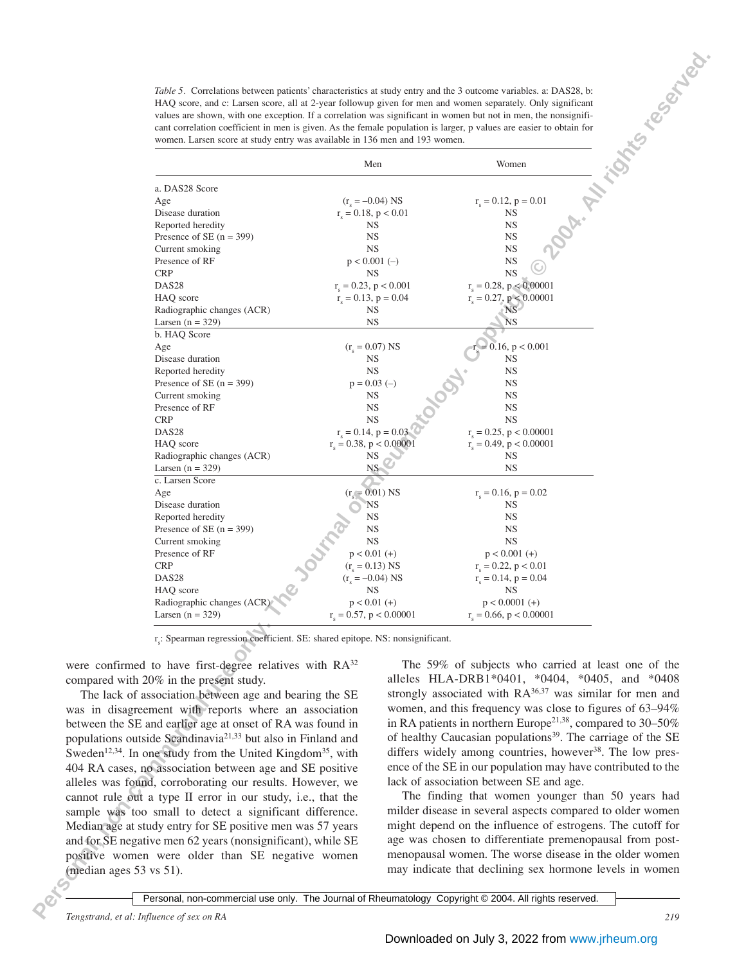*Table 5.* Correlations between patients' characteristics at study entry and the 3 outcome variables. a: DAS28, b: HAQ score, and c: Larsen score, all at 2-year followup given for men and women separately. Only significant values are shown, with one exception. If a correlation was significant in women but not in men, the nonsignificant correlation coefficient in men is given. As the female population is larger, p values are easier to obtain for women. Larsen score at study entry was available in 136 men and 193 women.

|                                                                                                                          | Men                                                     | Women                                                                                                         |  |
|--------------------------------------------------------------------------------------------------------------------------|---------------------------------------------------------|---------------------------------------------------------------------------------------------------------------|--|
| a. DAS28 Score                                                                                                           |                                                         |                                                                                                               |  |
| Age                                                                                                                      | $(r_s = -0.04)$ NS                                      | $r_s = 0.12$ , $p = 0.01$                                                                                     |  |
| Disease duration                                                                                                         | $r_s = 0.18$ , $p < 0.01$                               | NS                                                                                                            |  |
| Reported heredity<br>Presence of SE $(n = 399)$                                                                          | <b>NS</b><br>NS                                         | <b>NS</b><br><b>NS</b>                                                                                        |  |
| Current smoking                                                                                                          | <b>NS</b>                                               | <b>NS</b>                                                                                                     |  |
| Presence of RF                                                                                                           | $p < 0.001$ (-)                                         | <b>NS</b>                                                                                                     |  |
| <b>CRP</b><br>DAS28                                                                                                      | NS                                                      | <b>NS</b>                                                                                                     |  |
| HAQ score                                                                                                                | $r_e = 0.23$ , $p < 0.001$<br>$r_s = 0.13$ , $p = 0.04$ | $r_c = 0.28$ , $p < 0.00001$<br>$r_s = 0.27$ , $p < 0.00001$                                                  |  |
| Radiographic changes (ACR)                                                                                               | NS                                                      | NS <sup>-</sup>                                                                                               |  |
| Larsen $(n = 329)$                                                                                                       | <b>NS</b>                                               | ΝS                                                                                                            |  |
| b. HAQ Score                                                                                                             | $(r_{\rm c}=0.07)$ NS                                   |                                                                                                               |  |
| Age<br>Disease duration                                                                                                  | NS                                                      | $= 0.16, p < 0.001$<br>NS                                                                                     |  |
| Reported heredity                                                                                                        | <b>NS</b>                                               | NS                                                                                                            |  |
| Presence of SE $(n = 399)$                                                                                               | $p = 0.03$ (-)                                          | NS                                                                                                            |  |
| Current smoking<br>Presence of RF                                                                                        | NS<br><b>NS</b>                                         | <b>NS</b><br><b>NS</b>                                                                                        |  |
| <b>CRP</b>                                                                                                               | <b>NS</b>                                               | <b>NS</b>                                                                                                     |  |
| DAS28                                                                                                                    | $r_s = 0.14$ , $p = 0.03$                               | $r_c = 0.25$ , $p < 0.00001$                                                                                  |  |
| HAQ score                                                                                                                | $r_s = 0.38$ , $p < 0.00001$                            | $r_s = 0.49$ , $p < 0.00001$                                                                                  |  |
| Radiographic changes (ACR)<br>Larsen $(n = 329)$                                                                         | NS<br>NS-                                               | NS<br><b>NS</b>                                                                                               |  |
| c. Larsen Score                                                                                                          |                                                         |                                                                                                               |  |
| Age                                                                                                                      | $(r_s = 0.01)$ NS                                       | $r_s = 0.16$ , $p = 0.02$                                                                                     |  |
| Disease duration<br>Reported heredity                                                                                    | NS<br>NS                                                | NS<br><b>NS</b>                                                                                               |  |
| Presence of SE $(n = 399)$                                                                                               | <b>NS</b>                                               | NS.                                                                                                           |  |
| Current smoking                                                                                                          | <b>NS</b>                                               | NS                                                                                                            |  |
| Presence of RF<br><b>CRP</b>                                                                                             | $p < 0.01$ (+)<br>$(r_s = 0.13)$ NS                     | $p < 0.001$ (+)<br>$r_s = 0.22$ , $p < 0.01$                                                                  |  |
| DAS <sub>28</sub>                                                                                                        | $(r_c = -0.04)$ NS                                      | $r_s = 0.14$ , $p = 0.04$                                                                                     |  |
| HAQ score                                                                                                                | $_{\rm NS}$                                             | $_{\rm NS}$                                                                                                   |  |
| Radiographic changes (ACR)<br>Larsen $(n = 329)$                                                                         | $p < 0.01$ (+)<br>$r_s = 0.57$ , $p < 0.00001$          | $p < 0.0001$ (+)<br>$r_s = 0.66$ , $p < 0.00001$                                                              |  |
| r.: Spearman regression coefficient. SE: shared epitope. NS: nonsignificant.                                             |                                                         |                                                                                                               |  |
| were confirmed to have first-degree relatives with RA <sup>32</sup>                                                      |                                                         | The 59% of subjects who carried at least one of the                                                           |  |
| compared with 20% in the present study.                                                                                  |                                                         | alleles HLA-DRB1*0401, *0404, *0405, and *0408                                                                |  |
| The lack of association between age and bearing the SE                                                                   |                                                         | strongly associated with $RA^{36,37}$ was similar for men and                                                 |  |
| was in disagreement with reports where an association                                                                    |                                                         | women, and this frequency was close to figures of 63–94%                                                      |  |
| between the SE and earlier age at onset of RA was found in                                                               |                                                         | in RA patients in northern Europe <sup>21,38</sup> , compared to $30-50\%$                                    |  |
| populations outside Scandinavia <sup>21,33</sup> but also in Finland and                                                 |                                                         | of healthy Caucasian populations <sup>39</sup> . The carriage of the SE                                       |  |
| Sweden <sup>12,34</sup> . In one study from the United Kingdom <sup>35</sup> , with                                      |                                                         | differs widely among countries, however <sup>38</sup> . The low pres-                                         |  |
| 404 RA cases, no association between age and SE positive                                                                 |                                                         | ence of the SE in our population may have contributed to the                                                  |  |
| alleles was found, corroborating our results. However, we                                                                |                                                         | lack of association between SE and age.                                                                       |  |
| cannot rule out a type II error in our study, i.e., that the<br>sample was too small to detect a significant difference. |                                                         | The finding that women younger than 50 years had<br>milder disease in several aspects compared to older women |  |
| Median age at study entry for SE positive men was 57 years                                                               |                                                         | might depend on the influence of estrogens. The cutoff for                                                    |  |
| and for SE negative men 62 years (nonsignificant), while SE                                                              |                                                         | age was chosen to differentiate premenopausal from post-                                                      |  |
|                                                                                                                          |                                                         |                                                                                                               |  |
| positive women were older than SE negative women                                                                         |                                                         | menopausal women. The worse disease in the older women                                                        |  |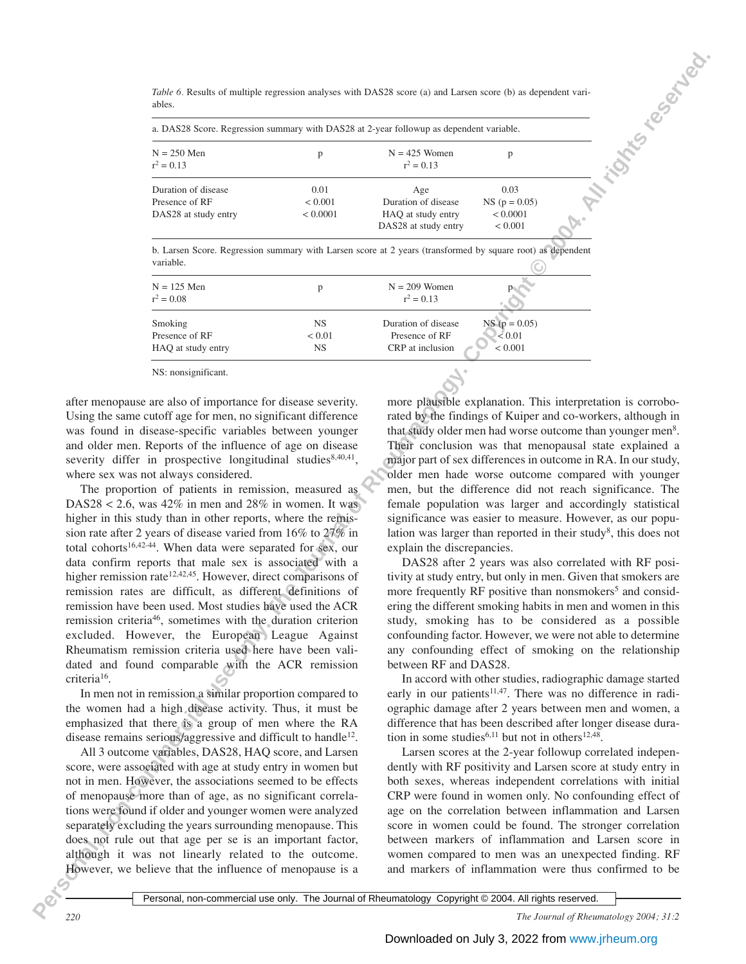ables.

| Table 6. Results of multiple regression analyses with DAS28 score (a) and Larsen score (b) as dependent vari-<br>ables. |                             |                                                                          |                                                       |  |
|-------------------------------------------------------------------------------------------------------------------------|-----------------------------|--------------------------------------------------------------------------|-------------------------------------------------------|--|
| a. DAS28 Score. Regression summary with DAS28 at 2-year followup as dependent variable.                                 |                             |                                                                          |                                                       |  |
| $N = 250$ Men<br>$r^2 = 0.13$                                                                                           | p                           | $N = 425$ Women<br>$r^2 = 0.13$                                          | p                                                     |  |
| Duration of disease<br>Presence of RF<br>DAS28 at study entry                                                           | 0.01<br>< 0.001<br>< 0.0001 | Age<br>Duration of disease<br>HAQ at study entry<br>DAS28 at study entry | 0.03<br>$NS (p = 0.05)$<br>< 0.0001<br>${}_{< 0.001}$ |  |

b. Larsen Score. Regression summary with Larsen score at 2 years (transformed by square root) as dependent variable.

| vanaviv.                      |           |                                        |  |
|-------------------------------|-----------|----------------------------------------|--|
| $N = 125$ Men<br>$r^2 = 0.08$ | D         | $N = 209$ Women<br>$r^2 = 0.13$        |  |
| Smoking                       | <b>NS</b> | $NS (p = 0.05)$<br>Duration of disease |  |
| Presence of RF                | < 0.01    | ${}_{0.01}$<br>Presence of RF          |  |
| HAQ at study entry            | NS        | CRP at inclusion<br>${}_{0.001}$       |  |

NS: nonsignificant.

after menopause are also of importance for disease severity. Using the same cutoff age for men, no significant difference was found in disease-specific variables between younger and older men. Reports of the influence of age on disease severity differ in prospective longitudinal studies $8,40,41$ , where sex was not always considered.

**Personal, All rights reserved.** The Personal of Rheumatology is the Second University of Personal use of Personal, 2004. The Second University of Copyright Copyright Copyright Copyright Copyright Copyright Copyright Copy The proportion of patients in remission, measured as DAS28 < 2.6, was  $42\%$  in men and  $28\%$  in women. It was higher in this study than in other reports, where the remission rate after 2 years of disease varied from 16% to 27% in total cohorts<sup>16,42-44</sup>. When data were separated for sex, our data confirm reports that male sex is associated with a higher remission rate<sup>12,42,45</sup>. However, direct comparisons of remission rates are difficult, as different definitions of remission have been used. Most studies have used the ACR remission criteria46, sometimes with the duration criterion excluded. However, the European League Against Rheumatism remission criteria used here have been validated and found comparable with the ACR remission criteria16.

In men not in remission a similar proportion compared to the women had a high disease activity. Thus, it must be emphasized that there is a group of men where the RA disease remains serious/aggressive and difficult to handle<sup>12</sup>.

All 3 outcome variables, DAS28, HAQ score, and Larsen score, were associated with age at study entry in women but not in men. However, the associations seemed to be effects of menopause more than of age, as no significant correlations were found if older and younger women were analyzed separately excluding the years surrounding menopause. This does not rule out that age per se is an important factor, although it was not linearly related to the outcome. However, we believe that the influence of menopause is a

more plausible explanation. This interpretation is corroborated by the findings of Kuiper and co-workers, although in that study older men had worse outcome than younger men<sup>8</sup>. Their conclusion was that menopausal state explained a major part of sex differences in outcome in RA. In our study, older men hade worse outcome compared with younger men, but the difference did not reach significance. The female population was larger and accordingly statistical significance was easier to measure. However, as our population was larger than reported in their study<sup>8</sup>, this does not explain the discrepancies.

DAS28 after 2 years was also correlated with RF positivity at study entry, but only in men. Given that smokers are more frequently RF positive than nonsmokers<sup>5</sup> and considering the different smoking habits in men and women in this study, smoking has to be considered as a possible confounding factor. However, we were not able to determine any confounding effect of smoking on the relationship between RF and DAS28.

In accord with other studies, radiographic damage started early in our patients<sup>11,47</sup>. There was no difference in radiographic damage after 2 years between men and women, a difference that has been described after longer disease duration in some studies<sup>6,11</sup> but not in others<sup>12,48</sup>.

Larsen scores at the 2-year followup correlated independently with RF positivity and Larsen score at study entry in both sexes, whereas independent correlations with initial CRP were found in women only. No confounding effect of age on the correlation between inflammation and Larsen score in women could be found. The stronger correlation between markers of inflammation and Larsen score in women compared to men was an unexpected finding. RF and markers of inflammation were thus confirmed to be

Personal, non-commercial use only. The Journal of Rheumatology Copyright © 2004. All rights reserved.

*220 The Journal of Rheumatology 2004; 31:2*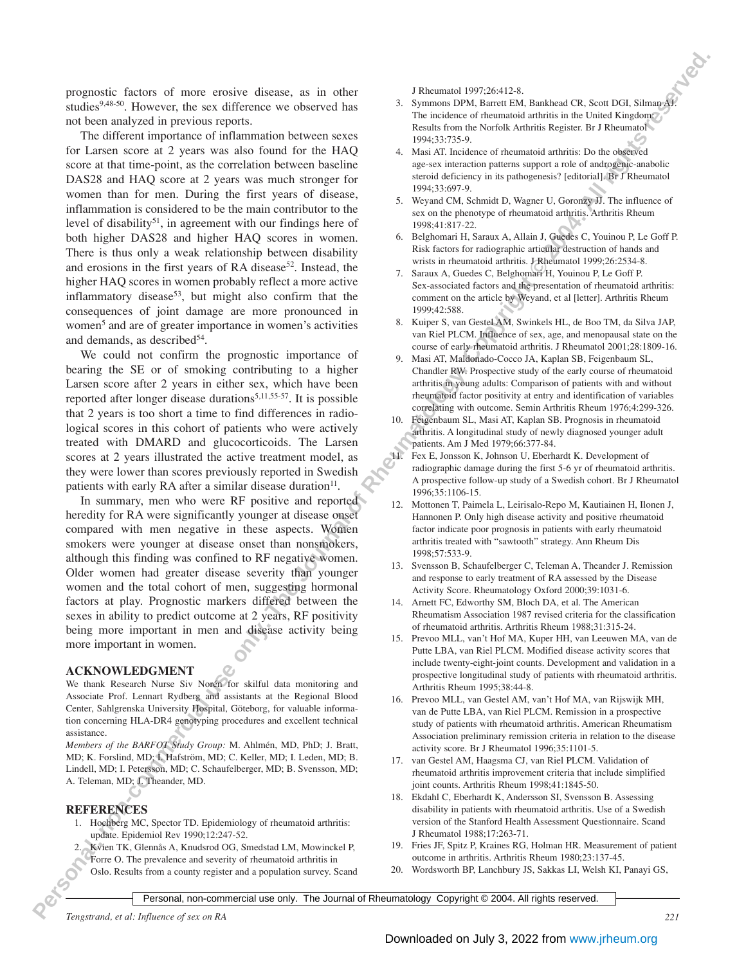prognostic factors of more erosive disease, as in other studies $9,48-50$ . However, the sex difference we observed has not been analyzed in previous reports.

**Personal these components in the Journal of Convention Convention Convention Convention Convention Convention Convention Convention Convention Convention Convention Convention Convention Convention Convention Convention** The different importance of inflammation between sexes for Larsen score at 2 years was also found for the HAQ score at that time-point, as the correlation between baseline DAS28 and HAQ score at 2 years was much stronger for women than for men. During the first years of disease, inflammation is considered to be the main contributor to the level of disability<sup>51</sup>, in agreement with our findings here of both higher DAS28 and higher HAQ scores in women. There is thus only a weak relationship between disability and erosions in the first years of RA disease<sup>52</sup>. Instead, the higher HAQ scores in women probably reflect a more active inflammatory disease<sup>53</sup>, but might also confirm that the consequences of joint damage are more pronounced in women<sup>5</sup> and are of greater importance in women's activities and demands, as described $54$ .

We could not confirm the prognostic importance of bearing the SE or of smoking contributing to a higher Larsen score after 2 years in either sex, which have been reported after longer disease durations<sup>5,11,55-57</sup>. It is possible that 2 years is too short a time to find differences in radiological scores in this cohort of patients who were actively treated with DMARD and glucocorticoids. The Larsen scores at 2 years illustrated the active treatment model, as they were lower than scores previously reported in Swedish patients with early RA after a similar disease duration<sup>11</sup>.

In summary, men who were RF positive and reported heredity for RA were significantly younger at disease onset compared with men negative in these aspects. Women smokers were younger at disease onset than nonsmokers, although this finding was confined to RF negative women. Older women had greater disease severity than younger women and the total cohort of men, suggesting hormonal factors at play. Prognostic markers differed between the sexes in ability to predict outcome at 2 years, RF positivity being more important in men and disease activity being more important in women.

## **ACKNOWLEDGMENT**

We thank Research Nurse Siv Norén for skilful data monitoring and Associate Prof. Lennart Rydberg and assistants at the Regional Blood Center, Sahlgrenska University Hospital, Göteborg, for valuable information concerning HLA-DR4 genotyping procedures and excellent technical assistance.

*Members of the BARFOT Study Group:* M. Ahlmén, MD, PhD; J. Bratt, MD; K. Forslind, MD; I. Hafström, MD; C. Keller, MD; I. Leden, MD; B. Lindell, MD; I. Petersson, MD; C. Schaufelberger, MD; B. Svensson, MD; A. Teleman, MD; J. Theander, MD.

## **REFERENCES**

- 1. Hochberg MC, Spector TD. Epidemiology of rheumatoid arthritis: update. Epidemiol Rev 1990;12:247-52.
- 2. Kvien TK, Glennås A, Knudsrod OG, Smedstad LM, Mowinckel P, Forre O. The prevalence and severity of rheumatoid arthritis in
	- Oslo. Results from a county register and a population survey. Scand

J Rheumatol 1997;26:412-8.

- 3. Symmons DPM, Barrett EM, Bankhead CR, Scott DGI, Silman AJ. The incidence of rheumatoid arthritis in the United Kingdom Results from the Norfolk Arthritis Register. Br J Rheumatol 1994;33:735-9.
- 4. Masi AT. Incidence of rheumatoid arthritis: Do the observed age-sex interaction patterns support a role of androgenic-anabolic steroid deficiency in its pathogenesis? [editorial]. Br J Rheumatol 1994;33:697-9.
- 5. Weyand CM, Schmidt D, Wagner U, Goronzy JJ. The influence of sex on the phenotype of rheumatoid arthritis. Arthritis Rheum 1998;41:817-22.
- 6. Belghomari H, Saraux A, Allain J, Guedes C, Youinou P, Le Goff P. Risk factors for radiographic articular destruction of hands and wrists in rheumatoid arthritis. J Rheumatol 1999;26:2534-8.
- 7. Saraux A, Guedes C, Belghomari H, Youinou P, Le Goff P. Sex-associated factors and the presentation of rheumatoid arthritis: comment on the article by Weyand, et al [letter]. Arthritis Rheum 1999;42:588.
- 8. Kuiper S, van Gestel AM, Swinkels HL, de Boo TM, da Silva JAP, van Riel PLCM. Influence of sex, age, and menopausal state on the course of early rheumatoid arthritis. J Rheumatol 2001;28:1809-16.
- 9. Masi AT, Maldonado-Cocco JA, Kaplan SB, Feigenbaum SL, Chandler RW. Prospective study of the early course of rheumatoid arthritis in young adults: Comparison of patients with and without rheumatoid factor positivity at entry and identification of variables correlating with outcome. Semin Arthritis Rheum 1976;4:299-326.
- 10. Feigenbaum SL, Masi AT, Kaplan SB. Prognosis in rheumatoid arthritis. A longitudinal study of newly diagnosed younger adult patients. Am J Med 1979;66:377-84.
- 11. Fex E, Jonsson K, Johnson U, Eberhardt K. Development of radiographic damage during the first 5-6 yr of rheumatoid arthritis. A prospective follow-up study of a Swedish cohort. Br J Rheumatol 1996;35:1106-15.
- 12. Mottonen T, Paimela L, Leirisalo-Repo M, Kautiainen H, Ilonen J, Hannonen P. Only high disease activity and positive rheumatoid factor indicate poor prognosis in patients with early rheumatoid arthritis treated with "sawtooth" strategy. Ann Rheum Dis 1998;57:533-9.
- 13. Svensson B, Schaufelberger C, Teleman A, Theander J. Remission and response to early treatment of RA assessed by the Disease Activity Score. Rheumatology Oxford 2000;39:1031-6.
- 14. Arnett FC, Edworthy SM, Bloch DA, et al. The American Rheumatism Association 1987 revised criteria for the classification of rheumatoid arthritis. Arthritis Rheum 1988;31:315-24.
- 15. Prevoo MLL, van't Hof MA, Kuper HH, van Leeuwen MA, van de Putte LBA, van Riel PLCM. Modified disease activity scores that include twenty-eight-joint counts. Development and validation in a prospective longitudinal study of patients with rheumatoid arthritis. Arthritis Rheum 1995;38:44-8.
- 16. Prevoo MLL, van Gestel AM, van't Hof MA, van Rijswijk MH, van de Putte LBA, van Riel PLCM. Remission in a prospective study of patients with rheumatoid arthritis. American Rheumatism Association preliminary remission criteria in relation to the disease activity score. Br J Rheumatol 1996;35:1101-5.
- 17. van Gestel AM, Haagsma CJ, van Riel PLCM. Validation of rheumatoid arthritis improvement criteria that include simplified joint counts. Arthritis Rheum 1998;41:1845-50.
- 18. Ekdahl C, Eberhardt K, Andersson SI, Svensson B. Assessing disability in patients with rheumatoid arthritis. Use of a Swedish version of the Stanford Health Assessment Questionnaire. Scand J Rheumatol 1988;17:263-71.
- 19. Fries JF, Spitz P, Kraines RG, Holman HR. Measurement of patient outcome in arthritis. Arthritis Rheum 1980;23:137-45.
- 20. Wordsworth BP, Lanchbury JS, Sakkas LI, Welsh KI, Panayi GS,